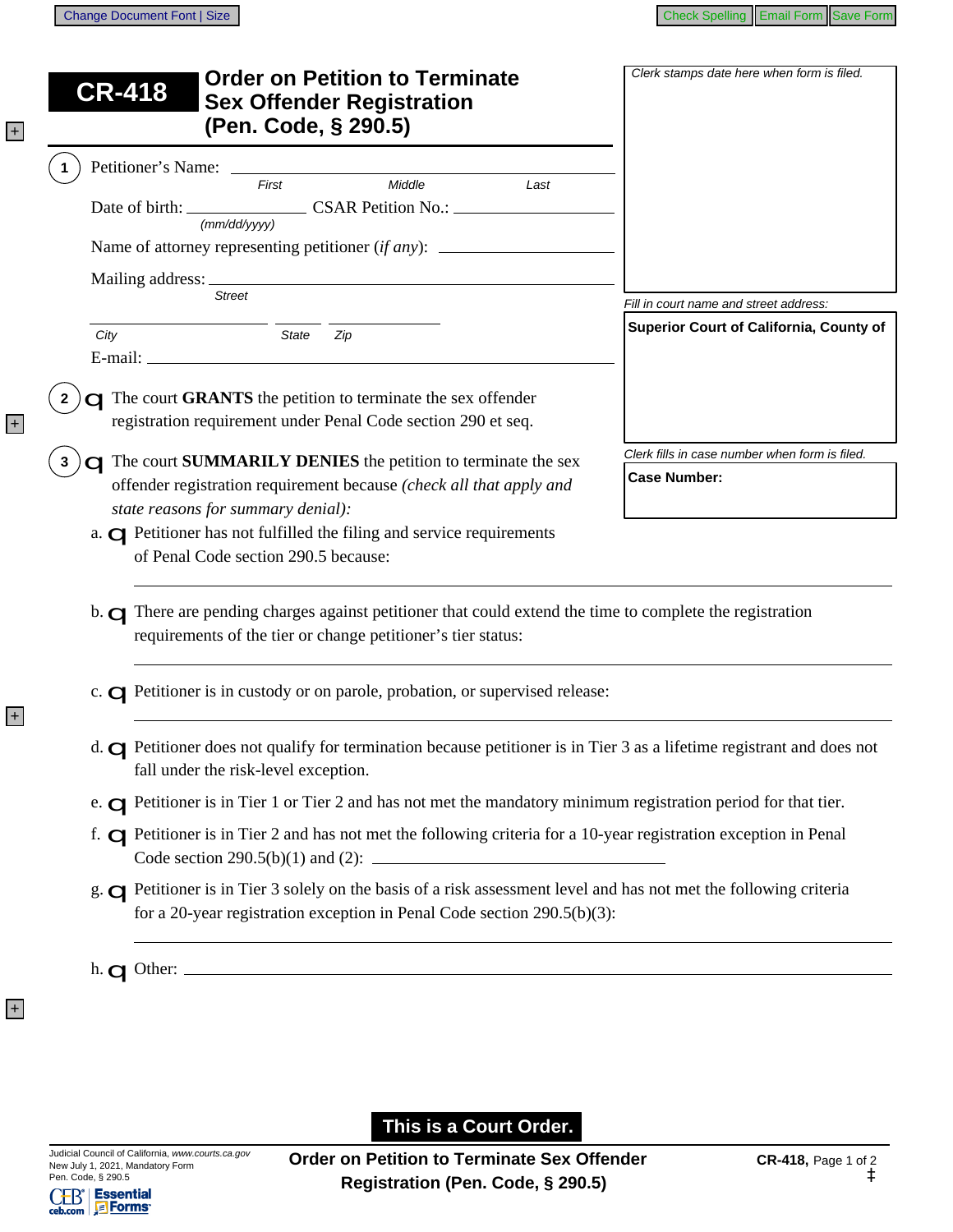|                | <b>Order on Petition to Terminate</b><br><b>CR-418</b><br><b>Sex Offender Registration</b><br>(Pen. Code, § 290.5)                                                                                                                                                                                | Clerk stamps date here when form is filed.                            |
|----------------|---------------------------------------------------------------------------------------------------------------------------------------------------------------------------------------------------------------------------------------------------------------------------------------------------|-----------------------------------------------------------------------|
| $\mathbf 1$    | Petitioner's Name: _______<br>Middle<br>First<br>Last                                                                                                                                                                                                                                             |                                                                       |
|                | (mm/dd/yyyy)                                                                                                                                                                                                                                                                                      |                                                                       |
|                | <b>Street</b>                                                                                                                                                                                                                                                                                     | Fill in court name and street address:                                |
|                | City<br>State<br>Zip                                                                                                                                                                                                                                                                              | Superior Court of California, County of                               |
| $\overline{2}$ | <b>C</b> The court GRANTS the petition to terminate the sex offender<br>registration requirement under Penal Code section 290 et seq.                                                                                                                                                             |                                                                       |
|                | <b>C</b> The court <b>SUMMARILY DENIES</b> the petition to terminate the sex<br>offender registration requirement because (check all that apply and<br>state reasons for summary denial):                                                                                                         | Clerk fills in case number when form is filed.<br><b>Case Number:</b> |
|                | a. <b>Q</b> Petitioner has not fulfilled the filing and service requirements<br>of Penal Code section 290.5 because:<br>b. O There are pending charges against petitioner that could extend the time to complete the registration<br>requirements of the tier or change petitioner's tier status: |                                                                       |
|                | c. <b>O</b> Petitioner is in custody or on parole, probation, or supervised release:                                                                                                                                                                                                              |                                                                       |
|                | d. <b>O</b> Petitioner does not qualify for termination because petitioner is in Tier 3 as a lifetime registrant and does not<br>fall under the risk-level exception.                                                                                                                             |                                                                       |
|                |                                                                                                                                                                                                                                                                                                   |                                                                       |
|                | e. $\Box$ Petitioner is in Tier 1 or Tier 2 and has not met the mandatory minimum registration period for that tier.                                                                                                                                                                              |                                                                       |
|                | f. <b>O</b> Petitioner is in Tier 2 and has not met the following criteria for a 10-year registration exception in Penal<br>Code section 290.5(b)(1) and (2): $\frac{1}{2}$                                                                                                                       |                                                                       |

This is a Court Order.

 $\begin{tabular}{c|c|c} CED^* & \textbf{Essential} \\ \hline \textbf{ceb.com} & \textbf{S} & \textbf{Forms} \\ \hline \end{tabular}$ 

+